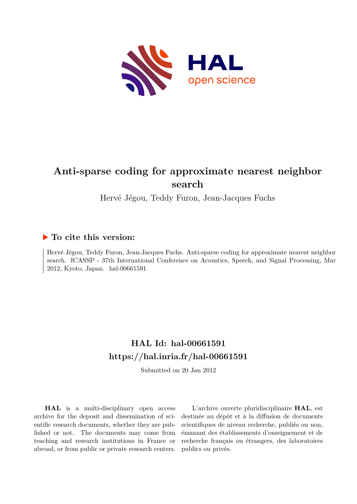

# **Anti-sparse coding for approximate nearest neighbor search**

Hervé Jégou, Teddy Furon, Jean-Jacques Fuchs

## **To cite this version:**

Hervé Jégou, Teddy Furon, Jean-Jacques Fuchs. Anti-sparse coding for approximate nearest neighbor search. ICASSP - 37th International Conference on Acoustics, Speech, and Signal Processing, Mar 2012, Kyoto, Japan. hal-00661591

## **HAL Id: hal-00661591 <https://hal.inria.fr/hal-00661591>**

Submitted on 20 Jan 2012

**HAL** is a multi-disciplinary open access archive for the deposit and dissemination of scientific research documents, whether they are published or not. The documents may come from teaching and research institutions in France or abroad, or from public or private research centers.

L'archive ouverte pluridisciplinaire **HAL**, est destinée au dépôt et à la diffusion de documents scientifiques de niveau recherche, publiés ou non, émanant des établissements d'enseignement et de recherche français ou étrangers, des laboratoires publics ou privés.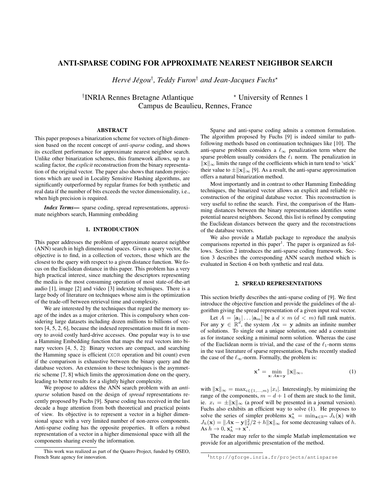## ANTI-SPARSE CODING FOR APPROXIMATE NEAREST NEIGHBOR SEARCH

 $Herv\acute{e}$  Jégou $^\dagger$ , Teddy Furon $^\dagger$  and Jean-Jacques Fuchs $^\star$ 

<sup>†</sup>INRIA Rennes Bretagne Atlantique **\*** University of Rennes 1 Campus de Beaulieu, Rennes, France

## ABSTRACT

This paper proposes a binarization scheme for vectors of high dimension based on the recent concept of *anti-sparse* coding, and shows its excellent performance for approximate nearest neighbor search. Unlike other binarization schemes, this framework allows, up to a scaling factor, the *explicit* reconstruction from the binary representation of the original vector. The paper also shows that random projections which are used in Locality Sensitive Hashing algorithms, are significantly outperformed by regular frames for both synthetic and real data if the number of bits exceeds the vector dimensionality, i.e., when high precision is required.

*Index Terms*— sparse coding, spread representations, approximate neighbors search, Hamming embedding

## 1. INTRODUCTION

This paper addresses the problem of approximate nearest neighbor (ANN) search in high dimensional spaces. Given a query vector, the objective is to find, in a collection of vectors, those which are the closest to the query with respect to a given distance function. We focus on the Euclidean distance in this paper. This problem has a very high practical interest, since matching the descriptors representing the media is the most consuming operation of most state-of-the-art audio [1], image [2] and video [3] indexing techniques. There is a large body of literature on techniques whose aim is the optimization of the trade-off between retrieval time and complexity.

We are interested by the techniques that regard the memory usage of the index as a major criterion. This is compulsory when considering large datasets including dozen millions to billions of vectors [4, 5, 2, 6], because the indexed representation must fit in memory to avoid costly hard-drive accesses. One popular way is to use a Hamming Embedding function that maps the real vectors into binary vectors [4, 5, 2]: Binary vectors are compact, and searching the Hamming space is efficient (XOR operation and bit count) even if the comparison is exhaustive between the binary query and the database vectors. An extension to these techniques is the asymmetric scheme [7, 8] which limits the approximation done on the query, leading to better results for a slightly higher complexity.

We propose to address the ANN search problem with an *antisparse* solution based on the design of *spread* representations recently proposed by Fuchs [9]. Sparse coding has received in the last decade a huge attention from both theoretical and practical points of view. Its objective is to represent a vector in a higher dimensional space with a very limited number of non-zeros components. Anti-sparse coding has the opposite properties. It offers a robust representation of a vector in a higher dimensional space with all the components sharing evenly the information.

Sparse and anti-sparse coding admits a common formulation. The algorithm proposed by Fuchs [9] is indeed similar to pathfollowing methods based on continuation techniques like [10]. The anti-sparse problem considers a  $\ell_{\infty}$  penalization term where the sparse problem usually considers the  $\ell_1$  norm. The penalization in  $\|\mathbf{x}\|_{\infty}$  limits the range of the coefficients which in turn tend to 'stick' their value to  $\pm ||\mathbf{x}||_{\infty}$  [9]. As a result, the anti-sparse approximation offers a natural binarization method.

Most importantly and in contrast to other Hamming Embedding techniques, the binarized vector allows an explicit and reliable reconstruction of the original database vector. This reconstruction is very useful to refine the search. First, the comparison of the Hamming distances between the binary representations identifies some potential nearest neighbors. Second, this list is refined by computing the Euclidean distances between the query and the reconstructions of the database vectors.

We also provide a Matlab package to reproduce the analysis comparisons reported in this paper<sup>1</sup>. The paper is organized as follows. Section 2 introduces the anti-sparse coding framework. Section 3 describes the corresponding ANN search method which is evaluated in Section 4 on both synthetic and real data.

## 2. SPREAD REPRESENTATIONS

This section briefly describes the anti-sparse coding of [9]. We first introduce the objective function and provide the guidelines of the algorithm giving the spread representation of a given input real vector.

Let  $A = [\mathbf{a}_1 | \dots | \mathbf{a}_m]$  be a  $d \times m$   $(d < m)$  full rank matrix. For any  $y \in \mathbb{R}^d$ , the system  $A x = y$  admits an infinite number of solutions. To single out a unique solution, one add a constraint as for instance seeking a minimal norm solution. Whereas the case of the Euclidean norm is trivial, and the case of the  $\ell_1$ -norm stems in the vast literature of sparse representation, Fuchs recently studied the case of the  $\ell_{\infty}$ -norm. Formally, the problem is:

$$
\mathbf{x}^* = \min_{\mathbf{x}: A\mathbf{x} = \mathbf{y}} \|\mathbf{x}\|_{\infty},\tag{1}
$$

with  $\|\mathbf{x}\|_{\infty} = \max_{i \in \{1,...,m\}} |x_i|$ . Interestingly, by minimizing the range of the components,  $m - d + 1$  of them are stuck to the limit, ie.  $x_i = \pm ||\mathbf{x}||_{\infty}$  (a proof will be presented in a journal version). Fuchs also exhibits an efficient way to solve (1). He proposes to solve the series of simpler problems  $x_h^* = \min_{x \in \mathbb{R}^m} J_h(x)$  with  $J_h(\mathbf{x}) = ||A\mathbf{x} - \mathbf{y}||_2^2/2 + h||\mathbf{x}||_{\infty}$  for some decreasing values of h. As  $h \to 0$ ,  $\mathbf{x}_h^{\star} \to \mathbf{x}^{\star}$ .

The reader may refer to the simple Matlab implementation we provide for an algorithmic presentation of the method.

This work was realized as part of the Quaero Project, funded by OSEO, French State agency for innovation.

<sup>1</sup>http://gforge.inria.fr/projects/antisparse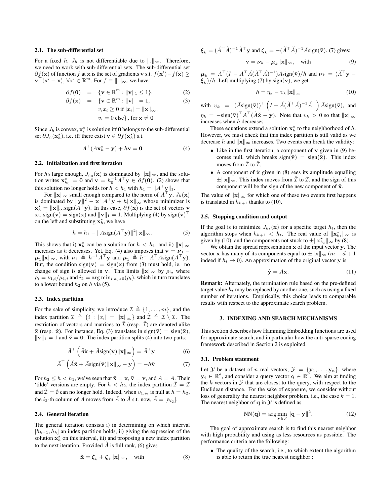#### 2.1. The sub-differential set

For a fixed h,  $J_h$  is not differentiable due to  $\Vert . \Vert_{\infty}$ . Therefore, we need to work with sub-differential sets. The sub-differential set  $\partial f(\mathbf{x})$  of function f at x is the set of gradients v s.t.  $f(\mathbf{x}') - f(\mathbf{x}) \ge$  $\mathbf{v}^\top(\mathbf{x}' - \mathbf{x}), \forall \mathbf{x}' \in \mathbb{R}^m$ . For  $f \equiv ||\cdot||_{\infty}$ , we have:

$$
\partial f(\mathbf{0}) = \{\mathbf{v} \in \mathbb{R}^m : \|\mathbf{v}\|_1 \le 1\},\tag{2}
$$

$$
\partial f(\mathbf{x}) = \{ \mathbf{v} \in \mathbb{R}^m : ||\mathbf{v}||_1 = 1, \qquad (3)
$$
  

$$
v_i x_i \ge 0 \text{ if } |x_i| = ||\mathbf{x}||_{\infty},
$$
  

$$
v_i = 0 \text{ else } \}, \text{ for } \mathbf{x} \ne \mathbf{0}
$$

Since  $J_h$  is convex,  $\mathbf{x}_h^*$  is solution iff 0 belongs to the sub-differential set  $\partial J_h(\mathbf{x}_h^*)$ , i.e. iff there exist  $\mathbf{v} \in \partial f(\mathbf{x}_h^*)$  s.t.

$$
A^{\top}(A\mathbf{x}_h^* - \mathbf{y}) + h\mathbf{v} = \mathbf{0}
$$
 (4)

## 2.2. Initialization and first iteration

For  $h_0$  large enough,  $J_{h_0}(\mathbf{x})$  is dominated by  $\|\mathbf{x}\|_{\infty}$ , and the solution writes  $\mathbf{x}_{h_0}^* = \mathbf{0}$  and  $\mathbf{v} = h_0^{-1} A^{\top} \mathbf{y} \in \partial f(\mathbf{0})$ . (2) shows that this solution no longer holds for  $h < h_1$  with  $h_1 = ||A^\top \mathbf{y}||_1$ .

For  $\|\mathbf{x}\|_{\infty}$  small enough compared to the norm of  $A^{\top}\mathbf{y}$ ,  $J_h(\mathbf{x})$ is dominated by  $\|\mathbf{y}\|^2 - \mathbf{x}^\top A^\top \mathbf{y} + h\|\mathbf{x}\|_{\infty}$  whose minimizer is  $\mathbf{x}_h^* = ||\mathbf{x}||_{\infty}$ sign $(A^{\top} \mathbf{y})$ . In this case,  $\partial f(\mathbf{x})$  is the set of vectors  $\mathbf{y}$ s.t. sign(v) = sign(x) and  $||v||_1 = 1$ . Multiplying (4) by sign(v)<sup>T</sup> on the left and substituting  $x_h^*$ , we have

$$
h = h_1 - ||A\text{sign}(A^{\top}\mathbf{y})||^2 ||\mathbf{x}||_{\infty}.
$$
 (5)

This shows that i)  $\mathbf{x}_h^*$  can be a solution for  $h < h_1$ , and ii)  $\|\mathbf{x}\|_{\infty}$ increases as h decreases. Yet, Eq. (4) also imposes that  $\mathbf{v} = \boldsymbol{\nu}_1$  –  $\mu_1 \|\mathbf{x}\|_{\infty}$ , with  $\nu_1 \triangleq h^{-1}A^{\top} \mathbf{y}$  and  $\mu_1 \triangleq \hat{h}^{-1}A^{\top}A \text{sign}(A^{\top} \mathbf{y})$ . But, the condition sign(v) = sign(x) from (3) must hold, ie. no change of sign is allowed in v. This limits  $||\mathbf{x}||_{\infty}$  by  $\rho_{i_2}$  where  $\rho_i = \nu_{1,i}/\mu_{1,i}$  and  $i_2 = \arg \min_{i:\rho_i>0} (\rho_i)$ , which in turn translates to a lower bound  $h_2$  on h via (5).

## 2.3. Index partition

For the sake of simplicity, we introduce  $\mathcal{I} \triangleq \{1, \ldots, m\}$ , and the index partition  $\bar{\mathcal{I}} \triangleq \{i : |x_i| = ||\mathbf{x}||_{\infty}\}\$ and  $\check{\mathcal{I}} \triangleq \mathcal{I} \setminus \bar{\mathcal{I}}\$ . The restriction of vectors and matrices to  $\overline{I}$  (resp.  $\overline{I}$ ) are denoted alike  $\bar{x}$  (resp.  $\bar{x}$ ). For instance, Eq. (3) translates in sign( $\bar{v}$ ) = sign( $\bar{x}$ ),  $\|\bar{\mathbf{v}}\|_1 = 1$  and  $\check{\mathbf{v}} = \mathbf{0}$ . The index partition splits (4) into two parts:

$$
\breve{A}^{\top} \left( \breve{A} \breve{\mathbf{x}} + \bar{A} \text{sign}(\bar{\mathbf{v}}) ||\mathbf{x}||_{\infty} \right) = \breve{A}^{\top} \mathbf{y}
$$
 (6)

$$
\bar{A}^{\top} \left( \check{A}\check{\mathbf{x}} + \bar{A}\mathrm{sign}(\bar{\mathbf{v}}) ||\mathbf{x}||_{\infty} - \mathbf{y} \right) = -h\bar{\mathbf{v}} \tag{7}
$$

For  $h_2 \leq h \lt h_1$ , we've seen that  $\bar{\mathbf{x}} = \mathbf{x}, \bar{\mathbf{v}} = \mathbf{v}$ , and  $\bar{A} = A$ . Their 'tilde' versions are empty. For  $h < h_2$ , the index partition  $\overline{\mathcal{I}} = \mathcal{I}$ and  $\check{\mathcal{I}} = \emptyset$  can no longer hold. Indeed, when  $v_{1,i_2}$  is null at  $h = h_2$ , the  $i_2$ -th column of A moves from  $\bar{A}$  to  $\breve{A}$  s.t. now,  $\breve{A} = [\mathbf{a}_{i_2}]$ .

#### 2.4. General iteration

The general iteration consists i) in determining on which interval  $[h_{k+1}, h_k]$  an index partition holds, ii) giving the expression of the solution  $x_h^*$  on this interval, iii) and proposing a new index partition to the next iteration. Provided  $\tilde{A}$  is full rank, (6) gives

$$
\breve{\mathbf{x}} = \boldsymbol{\xi}_k + \boldsymbol{\zeta}_k ||\mathbf{x}||_{\infty}, \quad \text{with} \tag{8}
$$

$$
\boldsymbol{\xi}_k = (\breve{A}^\top \breve{A})^{-1} \breve{A}^\top \mathbf{y} \text{ and } \boldsymbol{\zeta}_k = -(\breve{A}^\top \breve{A})^{-1} \bar{A} \text{sign}(\bar{\mathbf{v}}). \text{ (7) gives:}
$$

$$
\bar{\mathbf{v}} = \boldsymbol{\nu}_k - \boldsymbol{\mu}_k ||\mathbf{x}||_{\infty}, \quad \text{with} \tag{9}
$$

 $\mu_k = \overline{A}^\top (I - \overline{A}^\top \breve{A} (\breve{A}^\top \breve{A})^{-1}) \bar{A} sign(\bar{\mathbf{v}}) / h$  and  $\nu_k = (\breve{A}^\top \mathbf{y} - \breve{A}^\top \breve{A})$  $\xi_k$ )/h. Left multiplying (7) by sign( $\bar{\mathbf{v}}$ ), we get:

$$
h = \eta_k - \upsilon_k \|\mathbf{x}\|_{\infty} \tag{10}
$$

with  $v_k = (\bar{A}sign(\bar{\mathbf{v}}))^{\top} (I - \breve{A}(\breve{A}^{\top}\breve{A})^{-1}\breve{A}^{\top}) \bar{A}sign(\bar{\mathbf{v}}),$  and  $\eta_k = -\text{sign}(\bar{\mathbf{v}})^{\top} \bar{A}^{\top} (\check{A} \check{\mathbf{x}} - \mathbf{y})$ . Note that  $v_k > 0$  so that  $\|\mathbf{x}\|_{\infty}$ increases when h decreases.

These equations extend a solution  $x_h^*$  to the neighborhood of h. However, we must check that this index partition is still valid as we decrease h and  $\|\mathbf{x}\|_{\infty}$  increases. Two events can break the validity:

- Like in the first iteration, a component of  $\bar{v}$  given in (9) becomes null, which breaks sign( $\bar{v}$ ) = sign( $\bar{x}$ ). This index moves from  $\mathcal I$  to  $\tilde{\mathcal I}$ .
- A component of  $\ddot{x}$  given in (8) sees its amplitude equalling  $\pm \|\mathbf{x}\|_{\infty}$ . This index moves from  $\tilde{\mathcal{I}}$  to  $\overline{\mathcal{I}}$ , and the sign of this component will be the sign of the new component of  $\bar{x}$ .

The value of  $\|\mathbf{x}\|_{\infty}$  for which one of these two events first happens is translated in  $h_{k+1}$  thanks to (10).

#### 2.5. Stopping condition and output

If the goal is to minimize  $J_{h_t}(\mathbf{x})$  for a specific target  $h_t$ , then the algorithm stops when  $h_{k+1} < h_t$ . The real value of  $||\mathbf{x}_{h_t}^{\star}||_{\infty}$  is given by (10), and the components not stuck to  $\pm \|\mathbf{x}_{h_t}^{\star}\|_{\infty}$  by (8).

We obtain the spread representation  $x$  of the input vector  $y$ . The vector x has many of its components equal to  $\pm ||\mathbf{x}||_{\infty}$  (m – d + 1) indeed if  $h_t \to 0$ ). An approximation of the original vector y is

$$
\hat{\mathbf{y}} = A\mathbf{x}.\tag{11}
$$

Remark: Alternately, the termination rule based on the pre-defined target value  $h_t$  may be replaced by another one, such as using a fixed number of iterations. Empirically, this choice leads to comparable results with respect to the approximate search problem.

#### 3. INDEXING AND SEARCH MECHANISMS

This section describes how Hamming Embedding functions are used for approximate search, and in particular how the anti-sparse coding framework described in Section 2 is exploited.

#### 3.1. Problem statement

Let Y be a dataset of *n* real vectors,  $\mathcal{Y} = \{y_1, \ldots, y_n\}$ , where  $y_i \in \mathbb{R}^d$ , and consider a query vector  $\mathbf{q} \in \mathbb{R}^d$ . We aim at finding the  $k$  vectors in  $Y$  that are closest to the query, with respect to the Euclidean distance. For the sake of exposure, we consider without loss of generality the nearest neighbor problem, i.e., the case  $k = 1$ . The nearest neighbor of  $q$  in  $Y$  is defined as

$$
NN(\mathbf{q}) = \arg\min_{\mathbf{y} \in \mathcal{Y}} \|\mathbf{q} - \mathbf{y}\|^2.
$$
 (12)

The goal of approximate search is to find this nearest neighbor with high probability and using as less resources as possible. The performance criteria are the following:

• The quality of the search, i.e., to which extent the algorithm is able to return the true nearest neighbor ;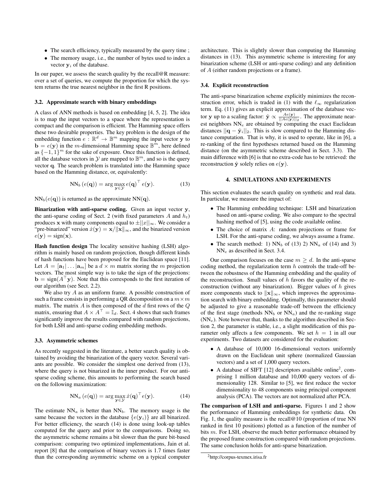- The search efficiency, typically measured by the query time ;
- The memory usage, i.e., the number of bytes used to index a vector  $y_i$  of the database.

In our paper, we assess the search quality by the recall@R measure: over a set of queries, we compute the proportion for which the system returns the true nearest neighbor in the first R positions.

## 3.2. Approximate search with binary embeddings

A class of ANN methods is based on embedding [4, 5, 2]. The idea is to map the input vectors to a space where the representation is compact and the comparison is efficient. The Hamming space offers these two desirable properties. The key problem is the design of the embedding function  $e : \mathbb{R}^d \to \mathbb{B}^m$  mapping the input vector y to  $\mathbf{b} = e(\mathbf{y})$  in the *m*-dimensional Hamming space  $\mathbb{B}^m$ , here defined as  $\{-1, 1\}^m$  for the sake of exposure. Once this function is defined, all the database vectors in  $\mathcal Y$  are mapped to  $\mathbb B^m$ , and so is the query vector q. The search problem is translated into the Hamming space based on the Hamming distance, or, equivalently:

$$
NN_b\left(e(\mathbf{q})\right) = \arg\max_{\mathbf{y}\in\mathcal{Y}} e(\mathbf{q})^\top e(\mathbf{y}).\tag{13}
$$

 $NN_b(e(q))$  is returned as the approximate  $NN(q)$ .

Binarization with anti-sparse coding. Given an input vector y, the anti-sparse coding of Sect. 2 (with fixed parameters  $A$  and  $h_t$ ) produces x with many components equal to  $\pm ||x||_{\infty}$ . We consider a "pre-binarized" version  $\dot{x}(y) = x/||x||_{\infty}$ , and the binarized version  $e(\mathbf{y}) = sign(\mathbf{x}).$ 

Hash function design The locality sensitive hashing (LSH) algorithm is mainly based on random projection, though different kinds of hash functions have been proposed for the Euclidean space [11]. Let  $A = [\mathbf{a}_1 | \dots | \mathbf{a}_m]$  be a  $d \times m$  matrix storing the m projection vectors. The most simple way is to take the sign of the projections:  $\mathbf{b} = \text{sign}(A^{\top} \mathbf{y})$ . Note that this corresponds to the first iteration of our algorithm (see Sect. 2.2).

We also try A as an uniform frame. A possible construction of such a frame consists in performing a QR decomposition on a  $m \times m$ matrix. The matrix  $A$  is then composed of the  $d$  first rows of the  $Q$ matrix, ensuring that  $A \times A^{\top} = \overline{\mathbb{I}}_d$ . Sect. 4 shows that such frames significantly improve the results compared with random projections, for both LSH and anti-sparse coding embedding methods.

## 3.3. Asymmetric schemes

As recently suggested in the literature, a better search quality is obtained by avoiding the binarization of the query vector. Several variants are possible. We consider the simplest one derived from (13), where the query is not binarized in the inner product. For our antisparse coding scheme, this amounts to performing the search based on the following maximization:

$$
NN_a\left(e(\mathbf{q})\right) = \arg\max_{\mathbf{y}\in\mathcal{Y}}\dot{x}(\mathbf{q})^\top e(\mathbf{y}).\tag{14}
$$

The estimate  $NN_a$  is better than  $NN_b$ . The memory usage is the same because the vectors in the database  $\{e(\mathbf{y}_i)\}\)$  are all binarized. For better efficiency, the search (14) is done using look-up tables computed for the query and prior to the comparisons. Doing so, the asymmetric scheme remains a bit slower than the pure bit-based comparison: comparing two optimized implementations, Jain et al. report [8] that the comparison of binary vectors is 1.7 times faster than the corresponding asymmetric scheme on a typical computer

architecture. This is slightly slower than computing the Hamming distances in (13). This asymmetric scheme is interesting for any binarization scheme (LSH or anti-sparse coding) and any definition of A (either random projections or a frame).

#### 3.4. Explicit reconstruction

The anti-sparse binarization scheme explicitly minimizes the reconstruction error, which is traded in (1) with the  $\ell_{\infty}$  regularization term. Eq. (11) gives an explicit approximation of the database vector y up to a scaling factor:  $\hat{y} \propto \frac{Ae(y)}{||Ae(y)||_2}$ . The approximate nearest neighbors  $NN_e$  are obtained by computing the exact Euclidean distances  $||\mathbf{q} - \hat{\mathbf{y}}_i||_2$ . This is slow compared to the Hamming distance computation. That is why, it is used to operate, like in [6], a re-ranking of the first hypotheses returned based on the Hamming distance (on the asymmetric scheme described in Sect. 3.3). The main difference with [6] is that no extra-code has to be retrieved: the reconstruction  $\hat{y}$  solely relies on  $e(y)$ .

## 4. SIMULATIONS AND EXPERIMENTS

This section evaluates the search quality on synthetic and real data. In particular, we measure the impact of:

- The Hamming embedding technique: LSH and binarization based on anti-sparse coding. We also compare to the spectral hashing method of [5], using the code available online.
- The choice of matrix A: random projections or frame for LSH. For the anti-sparse coding, we always assume a frame.
- The search method: 1)  $NN_b$  of (13) 2)  $NN_a$  of (14) and 3) NN<sup>e</sup> as described in Sect. 3.4.

Our comparison focuses on the case  $m \geq d$ . In the anti-sparse coding method, the regularization term  $h$  controls the trade-off between the robustness of the Hamming embedding and the quality of the reconstruction. Small values of  $h$  favors the quality of the reconstruction (without any binarization). Bigger values of  $h$  gives more components stuck to  $\|\mathbf{x}\|_{\infty}$ , which improves the approximation search with binary embedding. Optimally, this parameter should be adjusted to give a reasonable trade-off between the efficiency of the first stage (methods  $NN_b$  or  $NN_a$ ) and the re-ranking stage  $(NN_e)$ . Note however that, thanks to the algorithm described in Section 2, the parameter is stable, i.e., a slight modification of this parameter only affects a few components. We set  $h = 1$  in all our experiments. Two datasets are considered for the evaluation:

- A database of 10,000 16-dimensional vectors uniformly drawn on the Euclidean unit sphere (normalized Gaussian vectors) and a set of 1,000 query vectors.
- A database of SIFT [12] descriptors available online<sup>2</sup>, comprising 1 million database and 10,000 query vectors of dimensionality 128. Similar to [5], we first reduce the vector dimensionality to 48 components using principal component analysis (PCA). The vectors are not normalized after PCA.

The comparison of LSH and anti-sparse. Figures 1 and 2 show the performance of Hamming embeddings for synthetic data. On Fig. 1, the quality measure is the recall@10 (proportion of true NN ranked in first 10 positions) plotted as a function of the number of bits m. For LSH, observe the much better performance obtained by the proposed frame construction compared with random projections. The same conclusion holds for anti-sparse binarization.

<sup>2</sup>http://corpus-texmex.irisa.fr